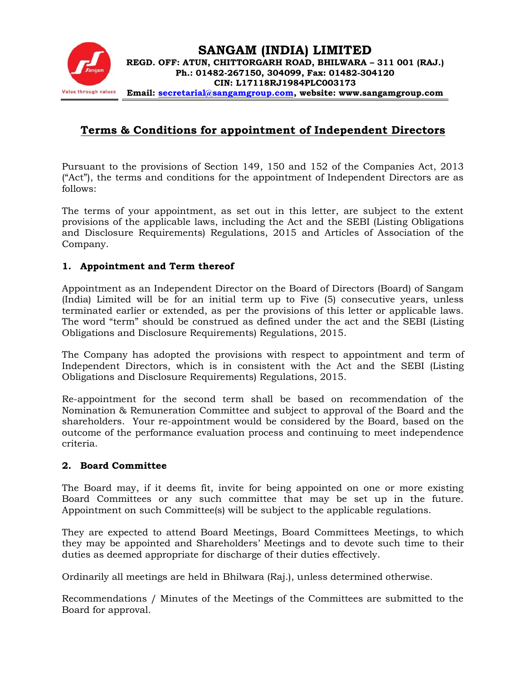

# **Terms & Conditions for appointment of Independent Directors**

Pursuant to the provisions of Section 149, 150 and 152 of the Companies Act, 2013 ("Act"), the terms and conditions for the appointment of Independent Directors are as follows:

The terms of your appointment, as set out in this letter, are subject to the extent provisions of the applicable laws, including the Act and the SEBI (Listing Obligations and Disclosure Requirements) Regulations, 2015 and Articles of Association of the Company.

#### **1. Appointment and Term thereof**

Appointment as an Independent Director on the Board of Directors (Board) of Sangam (India) Limited will be for an initial term up to Five (5) consecutive years, unless terminated earlier or extended, as per the provisions of this letter or applicable laws. The word "term" should be construed as defined under the act and the SEBI (Listing Obligations and Disclosure Requirements) Regulations, 2015.

The Company has adopted the provisions with respect to appointment and term of Independent Directors, which is in consistent with the Act and the SEBI (Listing Obligations and Disclosure Requirements) Regulations, 2015.

Re-appointment for the second term shall be based on recommendation of the Nomination & Remuneration Committee and subject to approval of the Board and the shareholders. Your re-appointment would be considered by the Board, based on the outcome of the performance evaluation process and continuing to meet independence criteria.

#### **2. Board Committee**

The Board may, if it deems fit, invite for being appointed on one or more existing Board Committees or any such committee that may be set up in the future. Appointment on such Committee(s) will be subject to the applicable regulations.

They are expected to attend Board Meetings, Board Committees Meetings, to which they may be appointed and Shareholders' Meetings and to devote such time to their duties as deemed appropriate for discharge of their duties effectively.

Ordinarily all meetings are held in Bhilwara (Raj.), unless determined otherwise.

Recommendations / Minutes of the Meetings of the Committees are submitted to the Board for approval.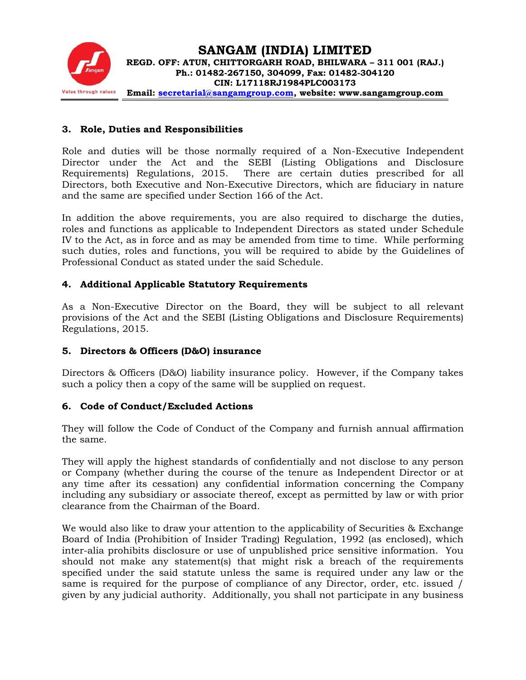

#### **3. Role, Duties and Responsibilities**

Role and duties will be those normally required of a Non-Executive Independent Director under the Act and the SEBI (Listing Obligations and Disclosure Requirements) Regulations, 2015. There are certain duties prescribed for all Directors, both Executive and Non-Executive Directors, which are fiduciary in nature and the same are specified under Section 166 of the Act.

In addition the above requirements, you are also required to discharge the duties, roles and functions as applicable to Independent Directors as stated under Schedule IV to the Act, as in force and as may be amended from time to time. While performing such duties, roles and functions, you will be required to abide by the Guidelines of Professional Conduct as stated under the said Schedule.

#### **4. Additional Applicable Statutory Requirements**

As a Non-Executive Director on the Board, they will be subject to all relevant provisions of the Act and the SEBI (Listing Obligations and Disclosure Requirements) Regulations, 2015.

#### **5. Directors & Officers (D&O) insurance**

Directors & Officers (D&O) liability insurance policy. However, if the Company takes such a policy then a copy of the same will be supplied on request.

#### **6. Code of Conduct/Excluded Actions**

They will follow the Code of Conduct of the Company and furnish annual affirmation the same.

They will apply the highest standards of confidentially and not disclose to any person or Company (whether during the course of the tenure as Independent Director or at any time after its cessation) any confidential information concerning the Company including any subsidiary or associate thereof, except as permitted by law or with prior clearance from the Chairman of the Board.

We would also like to draw your attention to the applicability of Securities & Exchange Board of India (Prohibition of Insider Trading) Regulation, 1992 (as enclosed), which inter-alia prohibits disclosure or use of unpublished price sensitive information. You should not make any statement(s) that might risk a breach of the requirements specified under the said statute unless the same is required under any law or the same is required for the purpose of compliance of any Director, order, etc. issued / given by any judicial authority. Additionally, you shall not participate in any business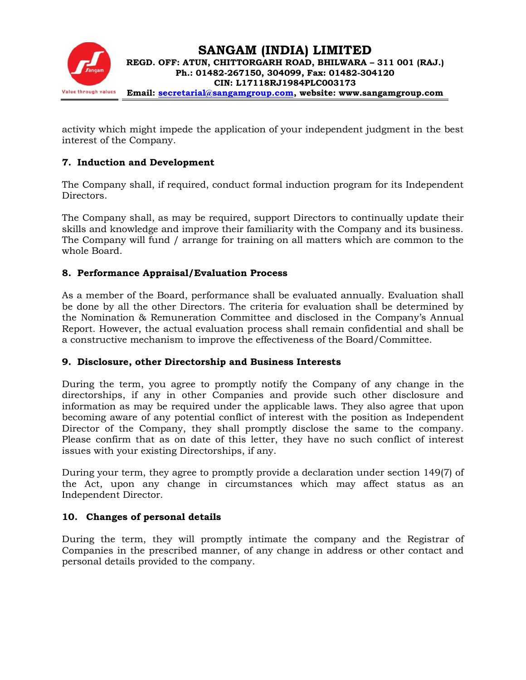

activity which might impede the application of your independent judgment in the best interest of the Company.

## **7. Induction and Development**

The Company shall, if required, conduct formal induction program for its Independent Directors.

The Company shall, as may be required, support Directors to continually update their skills and knowledge and improve their familiarity with the Company and its business. The Company will fund / arrange for training on all matters which are common to the whole Board.

## **8. Performance Appraisal/Evaluation Process**

As a member of the Board, performance shall be evaluated annually. Evaluation shall be done by all the other Directors. The criteria for evaluation shall be determined by the Nomination & Remuneration Committee and disclosed in the Company's Annual Report. However, the actual evaluation process shall remain confidential and shall be a constructive mechanism to improve the effectiveness of the Board/Committee.

#### **9. Disclosure, other Directorship and Business Interests**

During the term, you agree to promptly notify the Company of any change in the directorships, if any in other Companies and provide such other disclosure and information as may be required under the applicable laws. They also agree that upon becoming aware of any potential conflict of interest with the position as Independent Director of the Company, they shall promptly disclose the same to the company. Please confirm that as on date of this letter, they have no such conflict of interest issues with your existing Directorships, if any.

During your term, they agree to promptly provide a declaration under section 149(7) of the Act, upon any change in circumstances which may affect status as an Independent Director.

## **10. Changes of personal details**

During the term, they will promptly intimate the company and the Registrar of Companies in the prescribed manner, of any change in address or other contact and personal details provided to the company.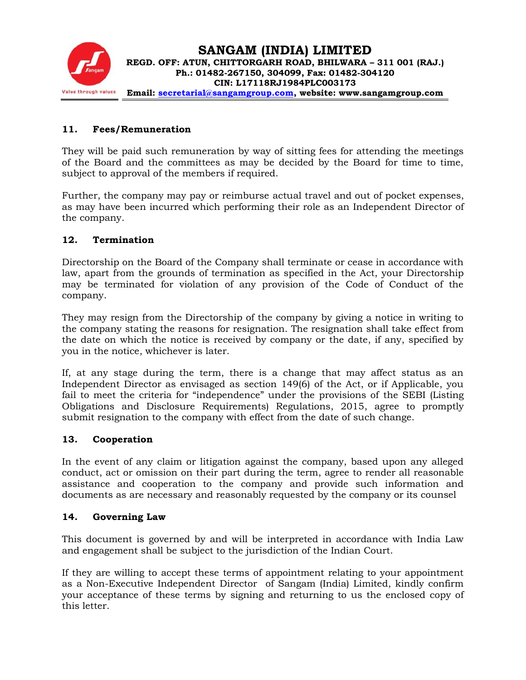

### **11. Fees/Remuneration**

They will be paid such remuneration by way of sitting fees for attending the meetings of the Board and the committees as may be decided by the Board for time to time, subject to approval of the members if required.

Further, the company may pay or reimburse actual travel and out of pocket expenses, as may have been incurred which performing their role as an Independent Director of the company.

#### **12. Termination**

Directorship on the Board of the Company shall terminate or cease in accordance with law, apart from the grounds of termination as specified in the Act, your Directorship may be terminated for violation of any provision of the Code of Conduct of the company.

They may resign from the Directorship of the company by giving a notice in writing to the company stating the reasons for resignation. The resignation shall take effect from the date on which the notice is received by company or the date, if any, specified by you in the notice, whichever is later.

If, at any stage during the term, there is a change that may affect status as an Independent Director as envisaged as section 149(6) of the Act, or if Applicable, you fail to meet the criteria for "independence" under the provisions of the SEBI (Listing Obligations and Disclosure Requirements) Regulations, 2015, agree to promptly submit resignation to the company with effect from the date of such change.

#### **13. Cooperation**

In the event of any claim or litigation against the company, based upon any alleged conduct, act or omission on their part during the term, agree to render all reasonable assistance and cooperation to the company and provide such information and documents as are necessary and reasonably requested by the company or its counsel

#### **14. Governing Law**

This document is governed by and will be interpreted in accordance with India Law and engagement shall be subject to the jurisdiction of the Indian Court.

If they are willing to accept these terms of appointment relating to your appointment as a Non-Executive Independent Director of Sangam (India) Limited, kindly confirm your acceptance of these terms by signing and returning to us the enclosed copy of this letter.